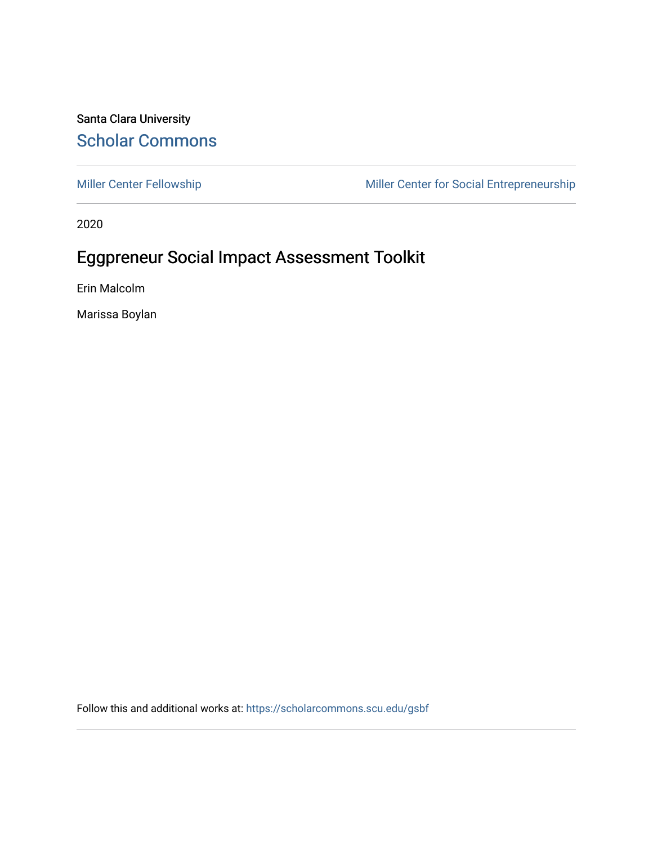#### Santa Clara University [Scholar Commons](https://scholarcommons.scu.edu/)

[Miller Center Fellowship](https://scholarcommons.scu.edu/gsbf) Miller Center for Social Entrepreneurship

2020

#### Eggpreneur Social Impact Assessment Toolkit

Erin Malcolm

Marissa Boylan

Follow this and additional works at: [https://scholarcommons.scu.edu/gsbf](https://scholarcommons.scu.edu/gsbf?utm_source=scholarcommons.scu.edu%2Fgsbf%2F150&utm_medium=PDF&utm_campaign=PDFCoverPages)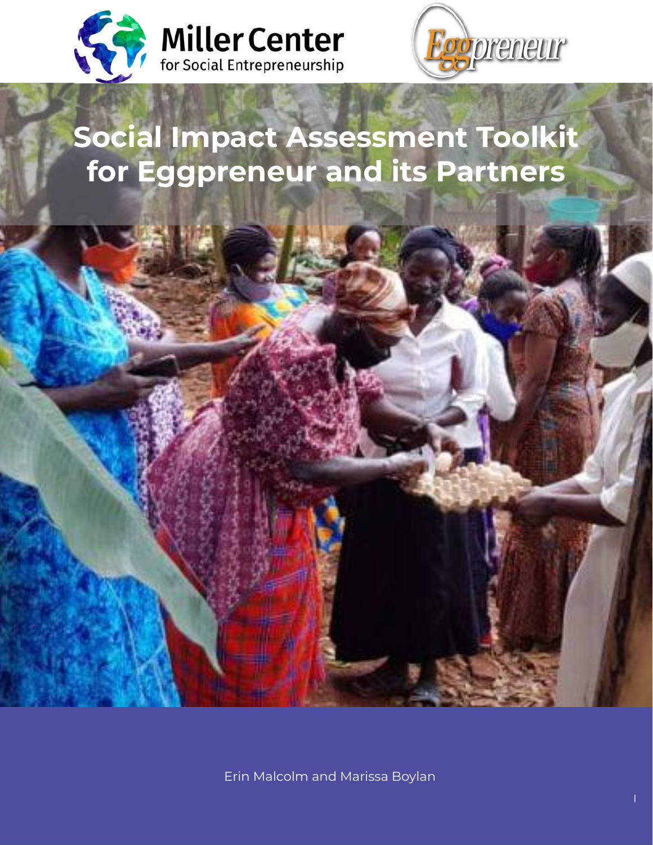



# **Social Impact Assessment Toolkit for Eggpreneur and its Partners**

Erin Malcolm and Marissa Boylan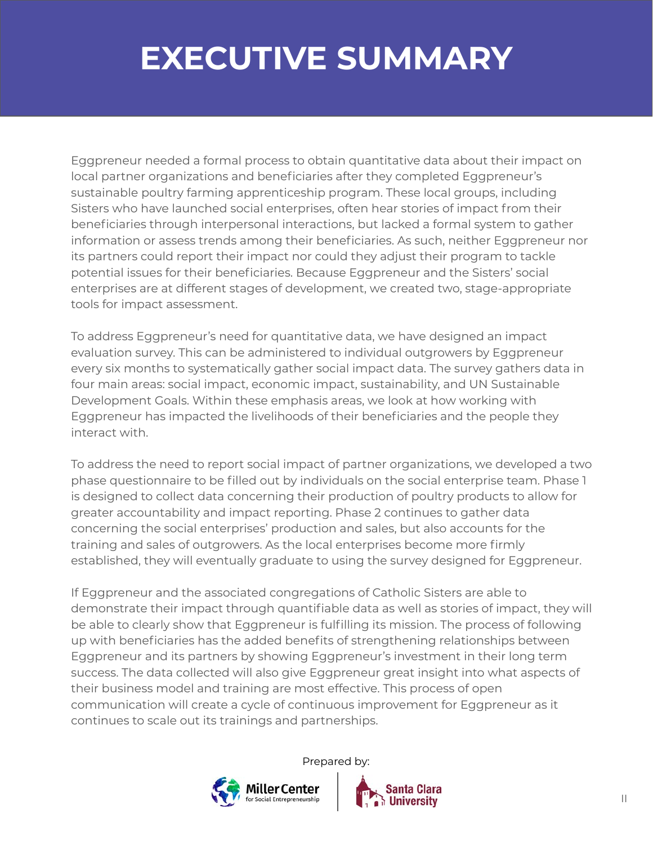# **EXECUTIVE SUMMARY**

Eggpreneur needed a formal process to obtain quantitative data about their impact on local partner organizations and beneficiaries after they completed Eggpreneur's sustainable poultry farming apprenticeship program. These local groups, including Sisters who have launched social enterprises, often hear stories of impact from their beneficiaries through interpersonal interactions, but lacked a formal system to gather information or assess trends among their beneficiaries. As such, neither Eggpreneur nor its partners could report their impact nor could they adjust their program to tackle potential issues for their beneficiaries. Because Eggpreneur and the Sisters' social enterprises are at different stages of development, we created two, stage-appropriate tools for impact assessment.

To address Eggpreneur's need for quantitative data, we have designed an impact evaluation survey. This can be administered to individual outgrowers by Eggpreneur every six months to systematically gather social impact data. The survey gathers data in four main areas: social impact, economic impact, sustainability, and UN Sustainable Development Goals. Within these emphasis areas, we look at how working with Eggpreneur has impacted the livelihoods of their beneficiaries and the people they interact with.

To address the need to report social impact of partner organizations, we developed a two phase questionnaire to be filled out by individuals on the social enterprise team. Phase 1 is designed to collect data concerning their production of poultry products to allow for greater accountability and impact reporting. Phase 2 continues to gather data concerning the social enterprises' production and sales, but also accounts for the training and sales of outgrowers. As the local enterprises become more firmly established, they will eventually graduate to using the survey designed for Eggpreneur.

If Eggpreneur and the associated congregations of Catholic Sisters are able to demonstrate their impact through quantifiable data as well as stories of impact, they will be able to clearly show that Eggpreneur is fulfilling its mission. The process of following up with beneficiaries has the added benefits of strengthening relationships between Eggpreneur and its partners by showing Eggpreneur's investment in their long term success. The data collected will also give Eggpreneur great insight into what aspects of their business model and training are most effective. This process of open communication will create a cycle of continuous improvement for Eggpreneur as it continues to scale out its trainings and partnerships.



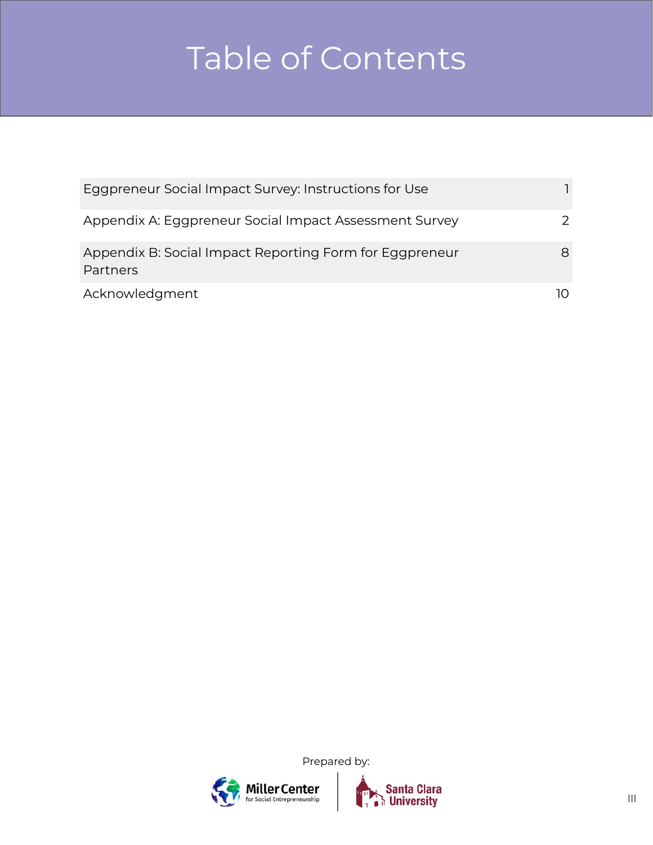# Table of Contents

| Eggpreneur Social Impact Survey: Instructions for Use               |   |
|---------------------------------------------------------------------|---|
| Appendix A: Eggpreneur Social Impact Assessment Survey              | 2 |
| Appendix B: Social Impact Reporting Form for Eggpreneur<br>Partners | 8 |
| Acknowledgment                                                      |   |



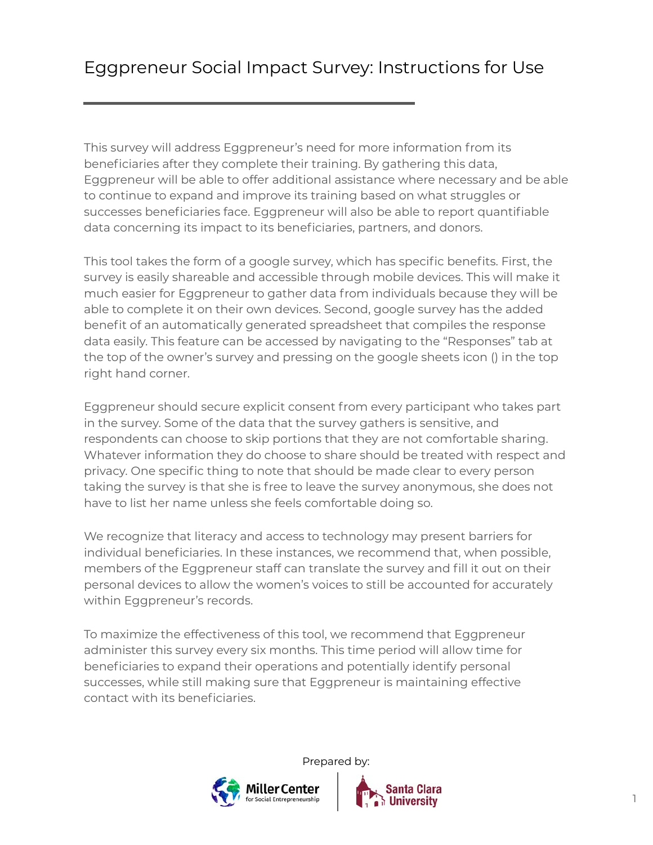This survey will address Eggpreneur's need for more information from its beneficiaries after they complete their training. By gathering this data, Eggpreneur will be able to offer additional assistance where necessary and be able to continue to expand and improve its training based on what struggles or successes beneficiaries face. Eggpreneur will also be able to report quantifiable data concerning its impact to its beneficiaries, partners, and donors.

This tool takes the form of a google survey, which has specific benefits. First, the survey is easily shareable and accessible through mobile devices. This will make it much easier for Eggpreneur to gather data from individuals because they will be able to complete it on their own devices. Second, google survey has the added benefit of an automatically generated spreadsheet that compiles the response data easily. This feature can be accessed by navigating to the "Responses" tab at the top of the owner's survey and pressing on the google sheets icon () in the top right hand corner.

Eggpreneur should secure explicit consent from every participant who takes part in the survey. Some of the data that the survey gathers is sensitive, and respondents can choose to skip portions that they are not comfortable sharing. Whatever information they do choose to share should be treated with respect and privacy. One specific thing to note that should be made clear to every person taking the survey is that she is free to leave the survey anonymous, she does not have to list her name unless she feels comfortable doing so.

We recognize that literacy and access to technology may present barriers for individual beneficiaries. In these instances, we recommend that, when possible, members of the Eggpreneur staff can translate the survey and fill it out on their personal devices to allow the women's voices to still be accounted for accurately within Eggpreneur's records.

To maximize the effectiveness of this tool, we recommend that Eggpreneur administer this survey every six months. This time period will allow time for beneficiaries to expand their operations and potentially identify personal successes, while still making sure that Eggpreneur is maintaining effective contact with its beneficiaries.



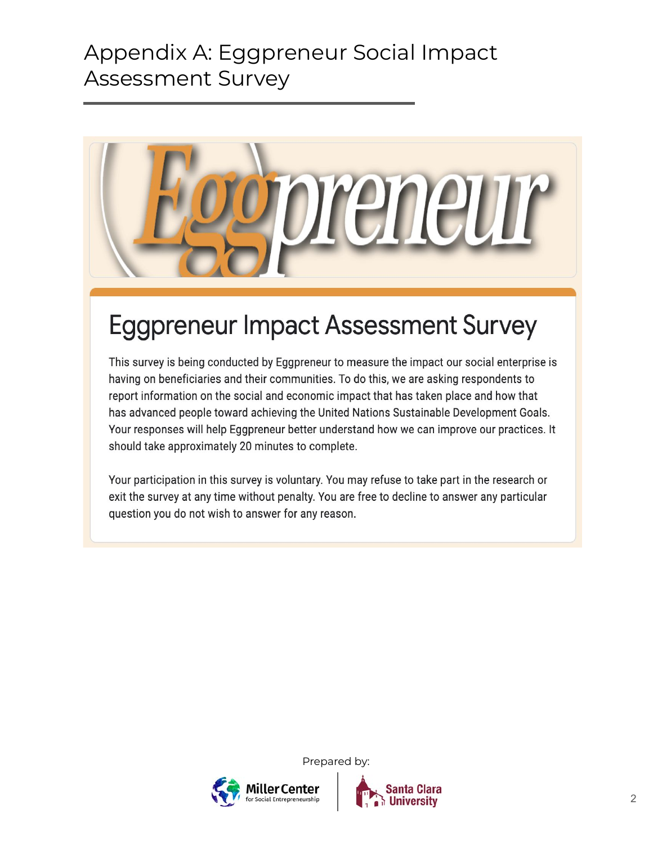

## **Eggpreneur Impact Assessment Survey**

This survey is being conducted by Eggpreneur to measure the impact our social enterprise is having on beneficiaries and their communities. To do this, we are asking respondents to report information on the social and economic impact that has taken place and how that has advanced people toward achieving the United Nations Sustainable Development Goals. Your responses will help Eggpreneur better understand how we can improve our practices. It should take approximately 20 minutes to complete.

Your participation in this survey is voluntary. You may refuse to take part in the research or exit the survey at any time without penalty. You are free to decline to answer any particular question you do not wish to answer for any reason.

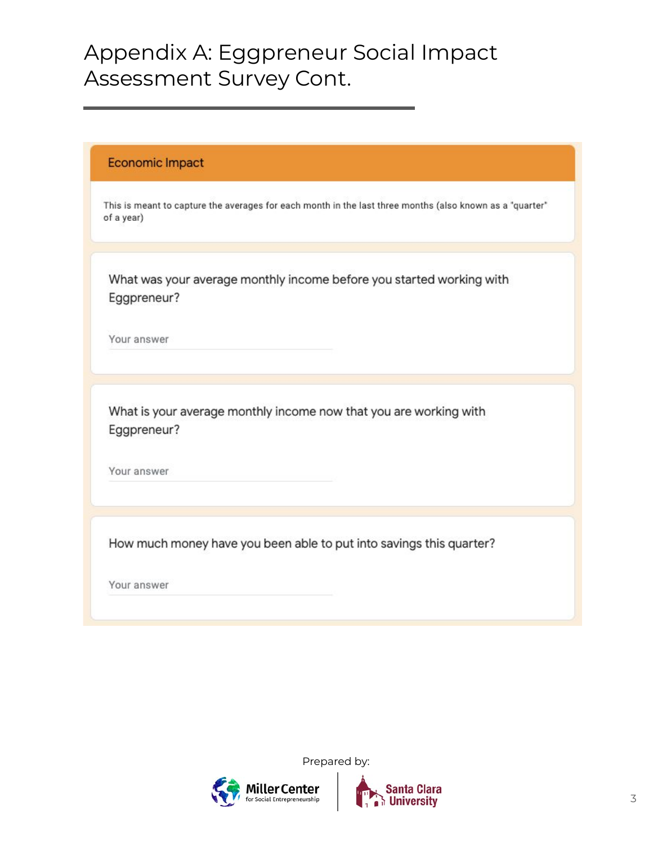| Economic Impact                                                                                                        |
|------------------------------------------------------------------------------------------------------------------------|
| This is meant to capture the averages for each month in the last three months (also known as a "quarter"<br>of a year) |
| What was your average monthly income before you started working with<br>Eggpreneur?                                    |
| Your answer                                                                                                            |
| What is your average monthly income now that you are working with                                                      |
| Eggpreneur?                                                                                                            |
| Your answer                                                                                                            |
|                                                                                                                        |
| How much money have you been able to put into savings this quarter?                                                    |
| Your answer                                                                                                            |



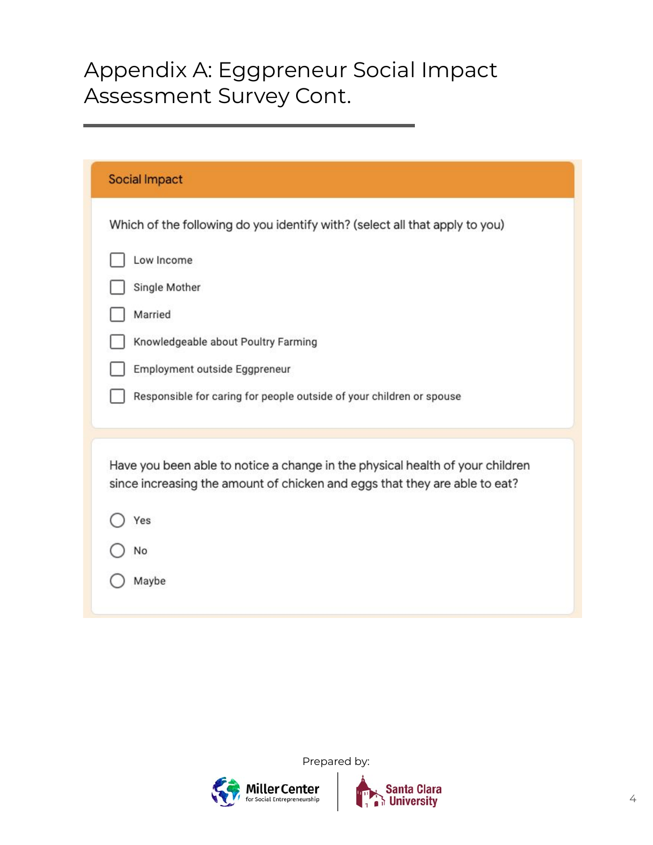| <b>Social Impact</b>                                                                                                                                        |
|-------------------------------------------------------------------------------------------------------------------------------------------------------------|
| Which of the following do you identify with? (select all that apply to you)                                                                                 |
| Low Income                                                                                                                                                  |
| Single Mother                                                                                                                                               |
| Married                                                                                                                                                     |
| Knowledgeable about Poultry Farming                                                                                                                         |
| Employment outside Eggpreneur                                                                                                                               |
| Responsible for caring for people outside of your children or spouse                                                                                        |
|                                                                                                                                                             |
| Have you been able to notice a change in the physical health of your children<br>since increasing the amount of chicken and eggs that they are able to eat? |
| Yes                                                                                                                                                         |
| No                                                                                                                                                          |
| Maybe                                                                                                                                                       |



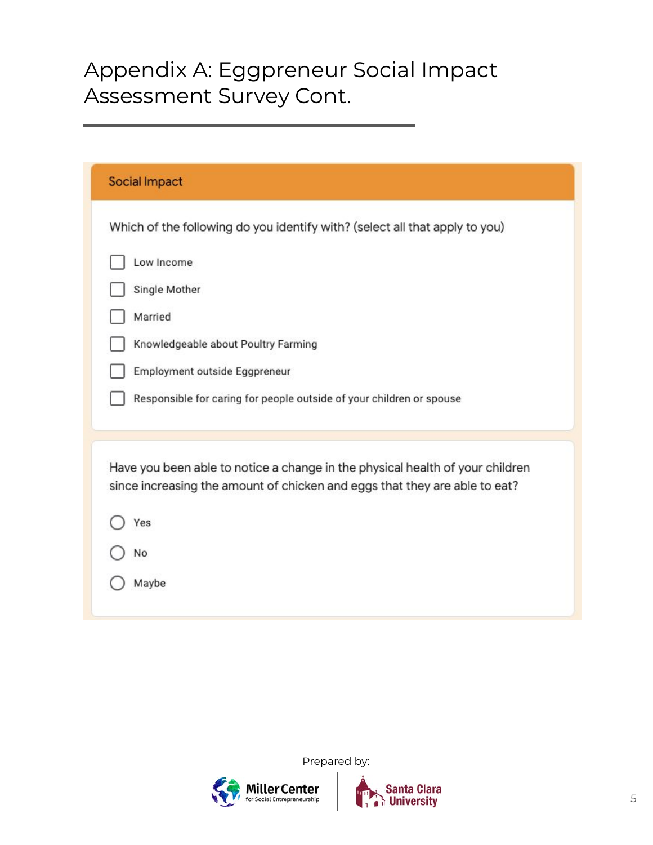| <b>Social Impact</b>                                                                                                                                        |
|-------------------------------------------------------------------------------------------------------------------------------------------------------------|
| Which of the following do you identify with? (select all that apply to you)                                                                                 |
| Low Income                                                                                                                                                  |
| Single Mother                                                                                                                                               |
| Married                                                                                                                                                     |
| Knowledgeable about Poultry Farming                                                                                                                         |
| Employment outside Eggpreneur                                                                                                                               |
| Responsible for caring for people outside of your children or spouse                                                                                        |
| Have you been able to notice a change in the physical health of your children<br>since increasing the amount of chicken and eggs that they are able to eat? |
| Yes                                                                                                                                                         |
| No                                                                                                                                                          |
| Maybe                                                                                                                                                       |



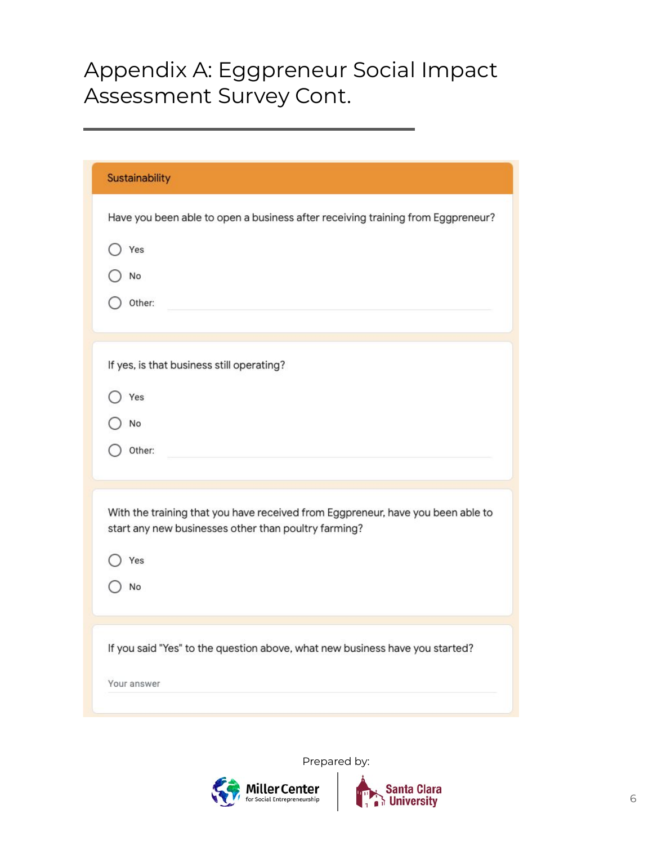| Sustainability                                                                                                                          |
|-----------------------------------------------------------------------------------------------------------------------------------------|
| Have you been able to open a business after receiving training from Eggpreneur?                                                         |
| Yes                                                                                                                                     |
| No                                                                                                                                      |
| Other:                                                                                                                                  |
|                                                                                                                                         |
| If yes, is that business still operating?                                                                                               |
| Yes                                                                                                                                     |
| No                                                                                                                                      |
| Other:                                                                                                                                  |
|                                                                                                                                         |
| With the training that you have received from Eggpreneur, have you been able to<br>start any new businesses other than poultry farming? |
| Yes                                                                                                                                     |
| No                                                                                                                                      |
|                                                                                                                                         |
| If you said "Yes" to the question above, what new business have you started?                                                            |
| Your answer                                                                                                                             |
|                                                                                                                                         |



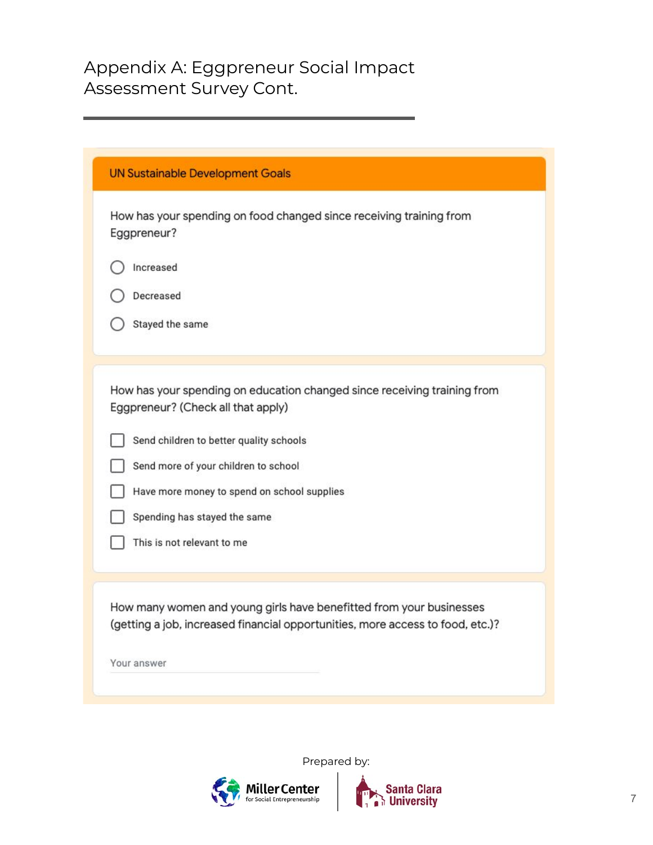| How has your spending on food changed since receiving training from<br>Eggpreneur?                                                                    |
|-------------------------------------------------------------------------------------------------------------------------------------------------------|
| Increased                                                                                                                                             |
| Decreased                                                                                                                                             |
| Stayed the same                                                                                                                                       |
|                                                                                                                                                       |
| How has your spending on education changed since receiving training from<br>Eggpreneur? (Check all that apply)                                        |
| Send children to better quality schools                                                                                                               |
| Send more of your children to school                                                                                                                  |
| Have more money to spend on school supplies                                                                                                           |
| Spending has stayed the same                                                                                                                          |
| This is not relevant to me                                                                                                                            |
|                                                                                                                                                       |
| How many women and young girls have benefitted from your businesses<br>(getting a job, increased financial opportunities, more access to food, etc.)? |
| Your answer                                                                                                                                           |



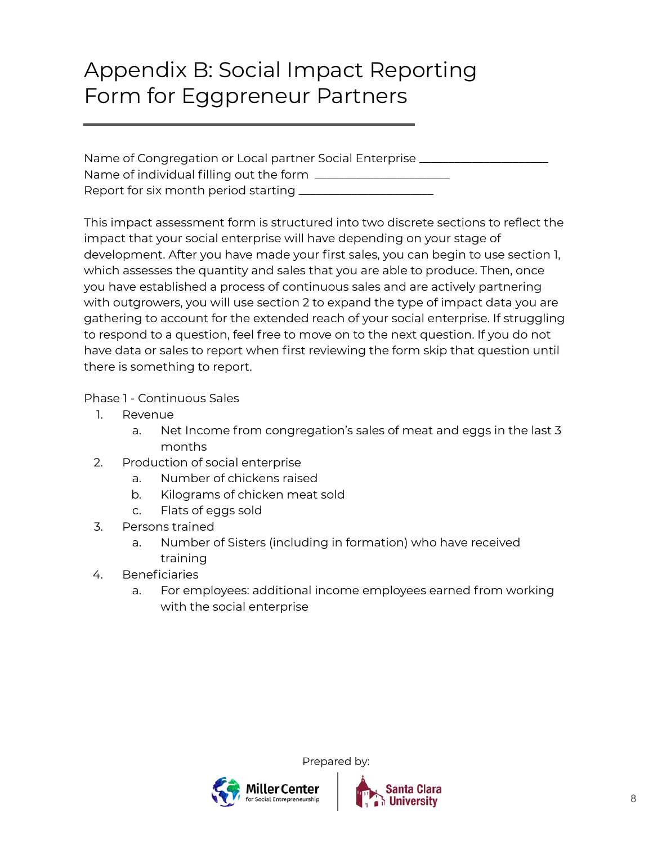#### Appendix B: Social Impact Reporting Form for Eggpreneur Partners

| Name of Congregation or Local partner Social Enterprise |  |
|---------------------------------------------------------|--|
| Name of individual filling out the form _               |  |
| Report for six month period starting __                 |  |

This impact assessment form is structured into two discrete sections to reflect the impact that your social enterprise will have depending on your stage of development. After you have made your first sales, you can begin to use section 1, which assesses the quantity and sales that you are able to produce. Then, once you have established a process of continuous sales and are actively partnering with outgrowers, you will use section 2 to expand the type of impact data you are gathering to account for the extended reach of your social enterprise. If struggling to respond to a question, feel free to move on to the next question. If you do not have data or sales to report when first reviewing the form skip that question until there is something to report.

Phase 1 - Continuous Sales

- 1. Revenue
	- a. Net Income from congregation's sales of meat and eggs in the last 3 months
- 2. Production of social enterprise
	- a. Number of chickens raised
	- b. Kilograms of chicken meat sold
	- c. Flats of eggs sold
- 3. Persons trained
	- a. Number of Sisters (including in formation) who have received training
- 4. Beneficiaries
	- a. For employees: additional income employees earned from working with the social enterprise

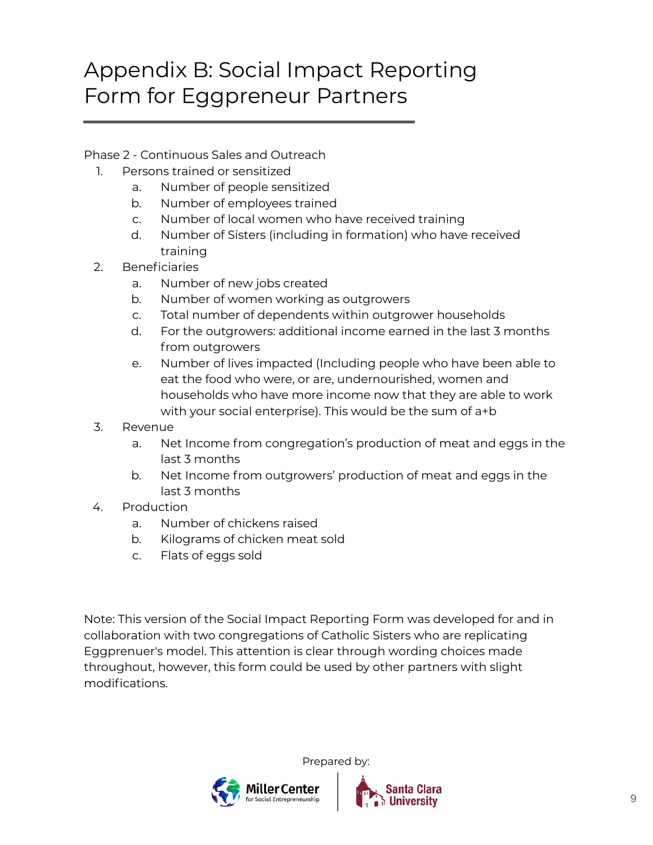### Appendix B: Social Impact Reporting Form for Eggpreneur Partners

#### Phase 2 - Continuous Sales and Outreach

- 1. Persons trained or sensitized
	- a. Number of people sensitized
	- b. Number of employees trained
	- c. Number of local women who have received training
	- d. Number of Sisters (including in formation) who have received training
- 2. Beneficiaries
	- a. Number of new jobs created
	- b. Number of women working as outgrowers
	- c. Total number of dependents within outgrower households
	- d. For the outgrowers: additional income earned in the last 3 months from outgrowers
	- e. Number of lives impacted (Including people who have been able to eat the food who were, or are, undernourished, women and households who have more income now that they are able to work with your social enterprise). This would be the sum of a+b
- 3. Revenue
	- a. Net Income from congregation's production of meat and eggs in the last 3 months
	- b. Net Income from outgrowers' production of meat and eggs in the last 3 months
- 4. Production
	- a. Number of chickens raised
	- b. Kilograms of chicken meat sold
	- c. Flats of eggs sold

Note: This version of the Social Impact Reporting Form was developed for and in collaboration with two congregations of Catholic Sisters who are replicating Eggprenuer's model. This attention is clear through wording choices made throughout, however, this form could be used by other partners with slight modifications.